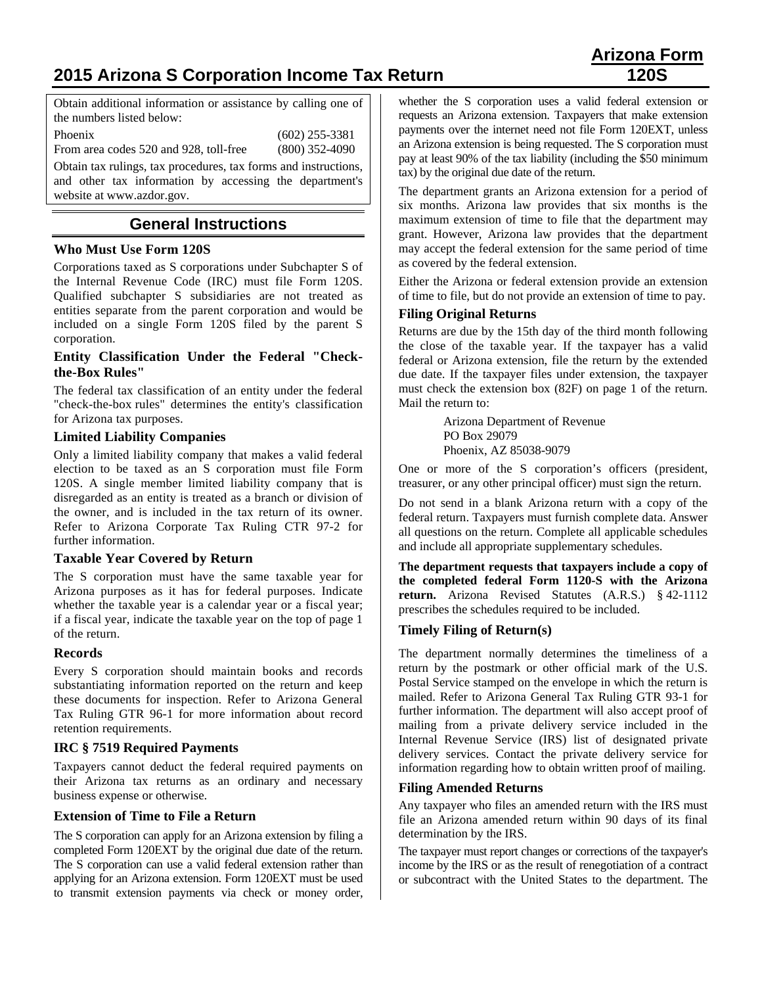# **2015 Arizona S Corporation Income Tax Return 120S**

# **Arizona Form**

Obtain additional information or assistance by calling one of the numbers listed below:

Phoenix (602) 255-3381

From area codes 520 and 928, toll-free (800) 352-4090

Obtain tax rulings, tax procedures, tax forms and instructions, and other tax information by accessing the department's website at www.azdor.gov.

# **General Instructions**

## **Who Must Use Form 120S**

Corporations taxed as S corporations under Subchapter S of the Internal Revenue Code (IRC) must file Form 120S. Qualified subchapter S subsidiaries are not treated as entities separate from the parent corporation and would be included on a single Form 120S filed by the parent S corporation.

## **Entity Classification Under the Federal "Checkthe-Box Rules"**

The federal tax classification of an entity under the federal "check-the-box rules" determines the entity's classification for Arizona tax purposes.

## **Limited Liability Companies**

Only a limited liability company that makes a valid federal election to be taxed as an S corporation must file Form 120S. A single member limited liability company that is disregarded as an entity is treated as a branch or division of the owner, and is included in the tax return of its owner. Refer to Arizona Corporate Tax Ruling CTR 97-2 for further information.

## **Taxable Year Covered by Return**

The S corporation must have the same taxable year for Arizona purposes as it has for federal purposes. Indicate whether the taxable year is a calendar year or a fiscal year; if a fiscal year, indicate the taxable year on the top of page 1 of the return.

## **Records**

Every S corporation should maintain books and records substantiating information reported on the return and keep these documents for inspection. Refer to Arizona General Tax Ruling GTR 96-1 for more information about record retention requirements.

## **IRC § 7519 Required Payments**

Taxpayers cannot deduct the federal required payments on their Arizona tax returns as an ordinary and necessary business expense or otherwise.

## **Extension of Time to File a Return**

The S corporation can apply for an Arizona extension by filing a completed Form 120EXT by the original due date of the return. The S corporation can use a valid federal extension rather than applying for an Arizona extension. Form 120EXT must be used to transmit extension payments via check or money order, whether the S corporation uses a valid federal extension or requests an Arizona extension. Taxpayers that make extension payments over the internet need not file Form 120EXT, unless an Arizona extension is being requested. The S corporation must pay at least 90% of the tax liability (including the \$50 minimum tax) by the original due date of the return.

The department grants an Arizona extension for a period of six months. Arizona law provides that six months is the maximum extension of time to file that the department may grant. However, Arizona law provides that the department may accept the federal extension for the same period of time as covered by the federal extension.

Either the Arizona or federal extension provide an extension of time to file, but do not provide an extension of time to pay.

## **Filing Original Returns**

Returns are due by the 15th day of the third month following the close of the taxable year. If the taxpayer has a valid federal or Arizona extension, file the return by the extended due date. If the taxpayer files under extension, the taxpayer must check the extension box (82F) on page 1 of the return. Mail the return to:

> Arizona Department of Revenue PO Box 29079 Phoenix, AZ 85038-9079

One or more of the S corporation's officers (president, treasurer, or any other principal officer) must sign the return.

Do not send in a blank Arizona return with a copy of the federal return. Taxpayers must furnish complete data. Answer all questions on the return. Complete all applicable schedules and include all appropriate supplementary schedules.

**The department requests that taxpayers include a copy of the completed federal Form 1120-S with the Arizona return.** Arizona Revised Statutes (A.R.S.) § 42-1112 prescribes the schedules required to be included.

## **Timely Filing of Return(s)**

The department normally determines the timeliness of a return by the postmark or other official mark of the U.S. Postal Service stamped on the envelope in which the return is mailed. Refer to Arizona General Tax Ruling GTR 93-1 for further information. The department will also accept proof of mailing from a private delivery service included in the Internal Revenue Service (IRS) list of designated private delivery services. Contact the private delivery service for information regarding how to obtain written proof of mailing.

## **Filing Amended Returns**

Any taxpayer who files an amended return with the IRS must file an Arizona amended return within 90 days of its final determination by the IRS.

The taxpayer must report changes or corrections of the taxpayer's income by the IRS or as the result of renegotiation of a contract or subcontract with the United States to the department. The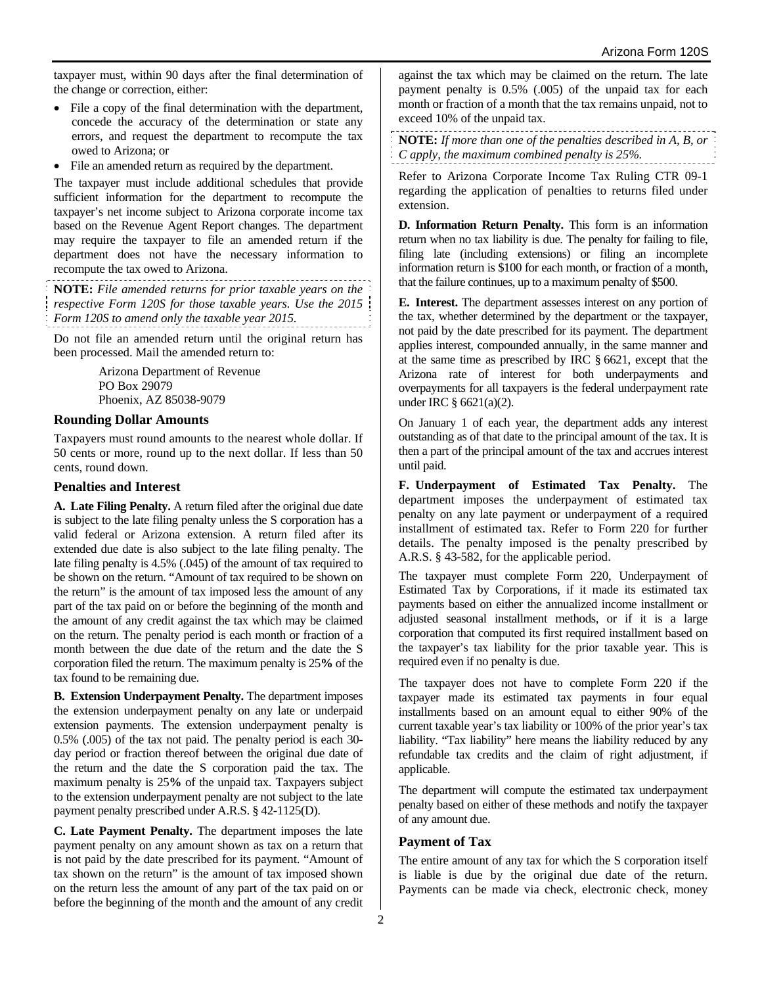taxpayer must, within 90 days after the final determination of the change or correction, either:

- File a copy of the final determination with the department, concede the accuracy of the determination or state any errors, and request the department to recompute the tax owed to Arizona; or
- File an amended return as required by the department.

The taxpayer must include additional schedules that provide sufficient information for the department to recompute the taxpayer's net income subject to Arizona corporate income tax based on the Revenue Agent Report changes. The department may require the taxpayer to file an amended return if the department does not have the necessary information to recompute the tax owed to Arizona.

**NOTE:** *File amended returns for prior taxable years on the respective Form 120S for those taxable years. Use the 2015 Form 120S to amend only the taxable year 2015.*

Do not file an amended return until the original return has been processed. Mail the amended return to:

> Arizona Department of Revenue PO Box 29079 Phoenix, AZ 85038-9079

#### **Rounding Dollar Amounts**

Taxpayers must round amounts to the nearest whole dollar. If 50 cents or more, round up to the next dollar. If less than 50 cents, round down.

#### **Penalties and Interest**

**A. Late Filing Penalty.** A return filed after the original due date is subject to the late filing penalty unless the S corporation has a valid federal or Arizona extension. A return filed after its extended due date is also subject to the late filing penalty. The late filing penalty is 4.5% (.045) of the amount of tax required to be shown on the return. "Amount of tax required to be shown on the return" is the amount of tax imposed less the amount of any part of the tax paid on or before the beginning of the month and the amount of any credit against the tax which may be claimed on the return. The penalty period is each month or fraction of a month between the due date of the return and the date the S corporation filed the return. The maximum penalty is 25**%** of the tax found to be remaining due.

**B. Extension Underpayment Penalty.** The department imposes the extension underpayment penalty on any late or underpaid extension payments. The extension underpayment penalty is 0.5% (.005) of the tax not paid. The penalty period is each 30 day period or fraction thereof between the original due date of the return and the date the S corporation paid the tax. The maximum penalty is 25**%** of the unpaid tax. Taxpayers subject to the extension underpayment penalty are not subject to the late payment penalty prescribed under A.R.S. § 42-1125(D).

**C. Late Payment Penalty.** The department imposes the late payment penalty on any amount shown as tax on a return that is not paid by the date prescribed for its payment. "Amount of tax shown on the return" is the amount of tax imposed shown on the return less the amount of any part of the tax paid on or before the beginning of the month and the amount of any credit

against the tax which may be claimed on the return. The late payment penalty is 0.5% (.005) of the unpaid tax for each month or fraction of a month that the tax remains unpaid, not to exceed 10% of the unpaid tax.

**NOTE:** *If more than one of the penalties described in A, B, or C apply, the maximum combined penalty is 25%.*

Refer to Arizona Corporate Income Tax Ruling CTR 09-1 regarding the application of penalties to returns filed under extension.

**D. Information Return Penalty.** This form is an information return when no tax liability is due. The penalty for failing to file, filing late (including extensions) or filing an incomplete information return is \$100 for each month, or fraction of a month, that the failure continues, up to a maximum penalty of \$500.

**E. Interest.** The department assesses interest on any portion of the tax, whether determined by the department or the taxpayer, not paid by the date prescribed for its payment. The department applies interest, compounded annually, in the same manner and at the same time as prescribed by IRC § 6621, except that the Arizona rate of interest for both underpayments and overpayments for all taxpayers is the federal underpayment rate under IRC § 6621(a)(2).

On January 1 of each year, the department adds any interest outstanding as of that date to the principal amount of the tax. It is then a part of the principal amount of the tax and accrues interest until paid.

**F. Underpayment of Estimated Tax Penalty.** The department imposes the underpayment of estimated tax penalty on any late payment or underpayment of a required installment of estimated tax. Refer to Form 220 for further details. The penalty imposed is the penalty prescribed by A.R.S. § 43-582, for the applicable period.

The taxpayer must complete Form 220, Underpayment of Estimated Tax by Corporations, if it made its estimated tax payments based on either the annualized income installment or adjusted seasonal installment methods, or if it is a large corporation that computed its first required installment based on the taxpayer's tax liability for the prior taxable year. This is required even if no penalty is due.

The taxpayer does not have to complete Form 220 if the taxpayer made its estimated tax payments in four equal installments based on an amount equal to either 90% of the current taxable year's tax liability or 100% of the prior year's tax liability. "Tax liability" here means the liability reduced by any refundable tax credits and the claim of right adjustment, if applicable.

The department will compute the estimated tax underpayment penalty based on either of these methods and notify the taxpayer of any amount due.

## **Payment of Tax**

The entire amount of any tax for which the S corporation itself is liable is due by the original due date of the return. Payments can be made via check, electronic check, money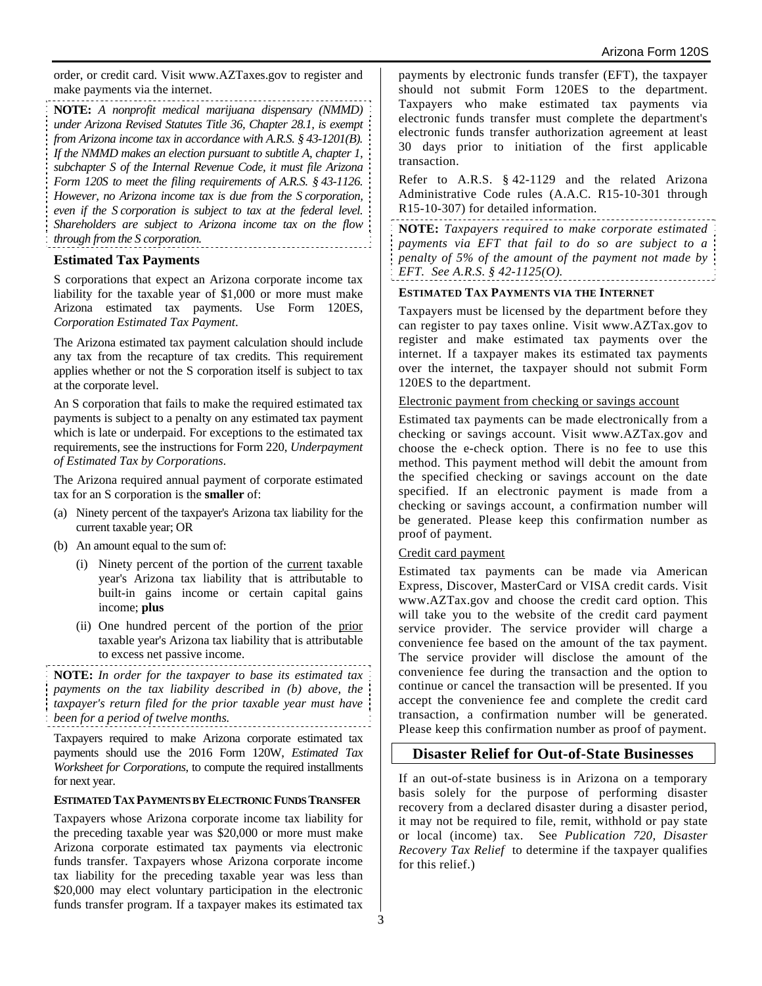order, or credit card. Visit www.AZTaxes.gov to register and make payments via the internet.

**NOTE:** *A nonprofit medical marijuana dispensary (NMMD) under Arizona Revised Statutes Title 36, Chapter 28.1, is exempt from Arizona income tax in accordance with A.R.S. § 43-1201(B). If the NMMD makes an election pursuant to subtitle A, chapter 1, subchapter S of the Internal Revenue Code, it must file Arizona Form 120S to meet the filing requirements of A.R.S. § 43-1126. However, no Arizona income tax is due from the S corporation, even if the S corporation is subject to tax at the federal level. Shareholders are subject to Arizona income tax on the flow through from the S corporation.*

#### **Estimated Tax Payments**

S corporations that expect an Arizona corporate income tax liability for the taxable year of \$1,000 or more must make Arizona estimated tax payments. Use Form 120ES, *Corporation Estimated Tax Payment*.

The Arizona estimated tax payment calculation should include any tax from the recapture of tax credits. This requirement applies whether or not the S corporation itself is subject to tax at the corporate level.

An S corporation that fails to make the required estimated tax payments is subject to a penalty on any estimated tax payment which is late or underpaid. For exceptions to the estimated tax requirements, see the instructions for Form 220, *Underpayment of Estimated Tax by Corporations*.

The Arizona required annual payment of corporate estimated tax for an S corporation is the **smaller** of:

- (a) Ninety percent of the taxpayer's Arizona tax liability for the current taxable year; OR
- (b) An amount equal to the sum of:
	- (i) Ninety percent of the portion of the current taxable year's Arizona tax liability that is attributable to built-in gains income or certain capital gains income; **plus**
	- (ii) One hundred percent of the portion of the prior taxable year's Arizona tax liability that is attributable to excess net passive income.

**NOTE:** *In order for the taxpayer to base its estimated tax payments on the tax liability described in (b) above, the taxpayer's return filed for the prior taxable year must have been for a period of twelve months.*

Taxpayers required to make Arizona corporate estimated tax payments should use the 2016 Form 120W, *Estimated Tax Worksheet for Corporations*, to compute the required installments for next year.

#### **ESTIMATED TAX PAYMENTS BY ELECTRONIC FUNDS TRANSFER**

Taxpayers whose Arizona corporate income tax liability for the preceding taxable year was \$20,000 or more must make Arizona corporate estimated tax payments via electronic funds transfer. Taxpayers whose Arizona corporate income tax liability for the preceding taxable year was less than \$20,000 may elect voluntary participation in the electronic funds transfer program. If a taxpayer makes its estimated tax payments by electronic funds transfer (EFT), the taxpayer should not submit Form 120ES to the department. Taxpayers who make estimated tax payments via electronic funds transfer must complete the department's electronic funds transfer authorization agreement at least 30 days prior to initiation of the first applicable transaction.

Refer to A.R.S. § 42-1129 and the related Arizona Administrative Code rules (A.A.C. R15-10-301 through R15-10-307) for detailed information.

**NOTE:** *Taxpayers required to make corporate estimated payments via EFT that fail to do so are subject to a penalty of 5% of the amount of the payment not made by EFT. See A.R.S. § 42-1125(O).* 

#### **ESTIMATED TAX PAYMENTS VIA THE INTERNET**

Taxpayers must be licensed by the department before they can register to pay taxes online. Visit www.AZTax.gov to register and make estimated tax payments over the internet. If a taxpayer makes its estimated tax payments over the internet, the taxpayer should not submit Form 120ES to the department.

#### Electronic payment from checking or savings account

Estimated tax payments can be made electronically from a checking or savings account. Visit www.AZTax.gov and choose the e-check option. There is no fee to use this method. This payment method will debit the amount from the specified checking or savings account on the date specified. If an electronic payment is made from a checking or savings account, a confirmation number will be generated. Please keep this confirmation number as proof of payment.

#### Credit card payment

Estimated tax payments can be made via American Express, Discover, MasterCard or VISA credit cards. Visit www.AZTax.gov and choose the credit card option. This will take you to the website of the credit card payment service provider. The service provider will charge a convenience fee based on the amount of the tax payment. The service provider will disclose the amount of the convenience fee during the transaction and the option to continue or cancel the transaction will be presented. If you accept the convenience fee and complete the credit card transaction, a confirmation number will be generated. Please keep this confirmation number as proof of payment.

#### **Disaster Relief for Out-of-State Businesses**

If an out-of-state business is in Arizona on a temporary basis solely for the purpose of performing disaster recovery from a declared disaster during a disaster period, it may not be required to file, remit, withhold or pay state or local (income) tax. See *Publication 720, Disaster Recovery Tax Relief* to determine if the taxpayer qualifies for this relief.)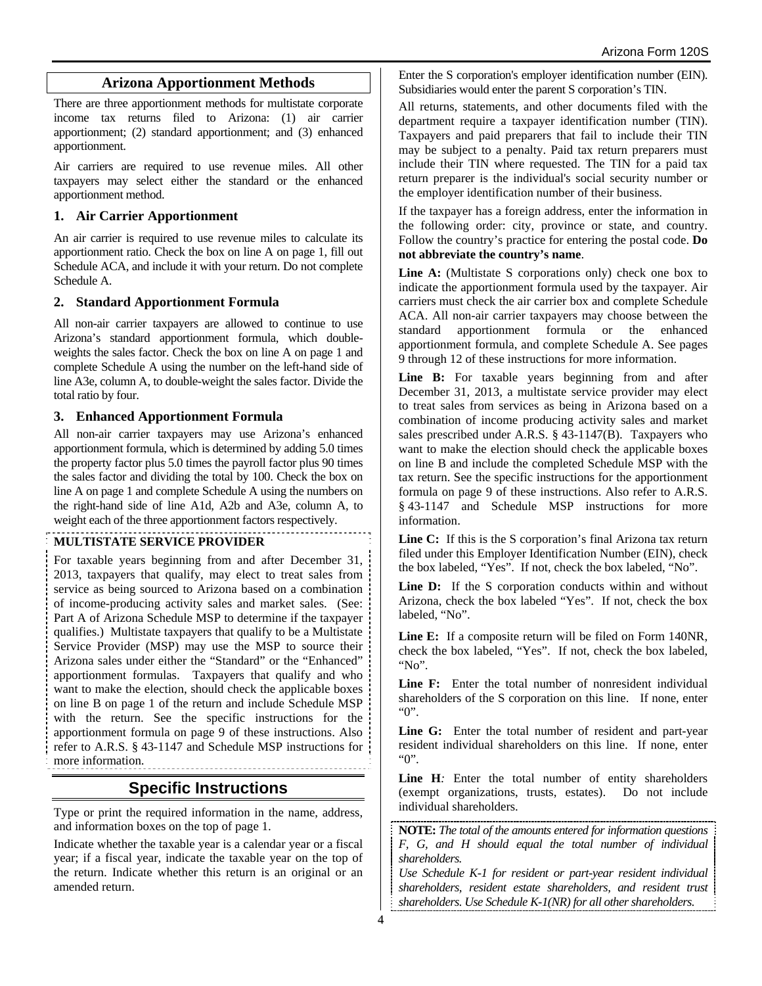# **Arizona Apportionment Methods**

There are three apportionment methods for multistate corporate income tax returns filed to Arizona: (1) air carrier apportionment; (2) standard apportionment; and (3) enhanced apportionment.

Air carriers are required to use revenue miles. All other taxpayers may select either the standard or the enhanced apportionment method.

## **1. Air Carrier Apportionment**

An air carrier is required to use revenue miles to calculate its apportionment ratio. Check the box on line A on page 1, fill out Schedule ACA, and include it with your return. Do not complete Schedule A.

#### **2. Standard Apportionment Formula**

All non-air carrier taxpayers are allowed to continue to use Arizona's standard apportionment formula, which doubleweights the sales factor. Check the box on line A on page 1 and complete Schedule A using the number on the left-hand side of line A3e, column A, to double-weight the sales factor. Divide the total ratio by four.

#### **3. Enhanced Apportionment Formula**

All non-air carrier taxpayers may use Arizona's enhanced apportionment formula, which is determined by adding 5.0 times the property factor plus 5.0 times the payroll factor plus 90 times the sales factor and dividing the total by 100. Check the box on line A on page 1 and complete Schedule A using the numbers on the right-hand side of line A1d, A2b and A3e, column A, to weight each of the three apportionment factors respectively.

#### **MULTISTATE SERVICE PROVIDER**

For taxable years beginning from and after December 31, 2013, taxpayers that qualify, may elect to treat sales from service as being sourced to Arizona based on a combination of income-producing activity sales and market sales. (See: Part A of Arizona Schedule MSP to determine if the taxpayer qualifies.) Multistate taxpayers that qualify to be a Multistate Service Provider (MSP) may use the MSP to source their Arizona sales under either the "Standard" or the "Enhanced" apportionment formulas. Taxpayers that qualify and who want to make the election, should check the applicable boxes on line B on page 1 of the return and include Schedule MSP with the return. See the specific instructions for the apportionment formula on page 9 of these instructions. Also refer to A.R.S. § 43-1147 and Schedule MSP instructions for more information.

# **Specific Instructions**

Type or print the required information in the name, address, and information boxes on the top of page 1.

Indicate whether the taxable year is a calendar year or a fiscal year; if a fiscal year, indicate the taxable year on the top of the return. Indicate whether this return is an original or an amended return.

Enter the S corporation's employer identification number (EIN). Subsidiaries would enter the parent S corporation's TIN.

All returns, statements, and other documents filed with the department require a taxpayer identification number (TIN). Taxpayers and paid preparers that fail to include their TIN may be subject to a penalty. Paid tax return preparers must include their TIN where requested. The TIN for a paid tax return preparer is the individual's social security number or the employer identification number of their business.

If the taxpayer has a foreign address, enter the information in the following order: city, province or state, and country. Follow the country's practice for entering the postal code. **Do not abbreviate the country's name**.

**Line A:** (Multistate S corporations only) check one box to indicate the apportionment formula used by the taxpayer. Air carriers must check the air carrier box and complete Schedule ACA. All non-air carrier taxpayers may choose between the standard apportionment formula or the enhanced apportionment formula, and complete Schedule A. See pages 9 through 12 of these instructions for more information.

Line B: For taxable years beginning from and after December 31, 2013, a multistate service provider may elect to treat sales from services as being in Arizona based on a combination of income producing activity sales and market sales prescribed under A.R.S. § 43-1147(B). Taxpayers who want to make the election should check the applicable boxes on line B and include the completed Schedule MSP with the tax return. See the specific instructions for the apportionment formula on page 9 of these instructions. Also refer to A.R.S. § 43-1147 and Schedule MSP instructions for more information.

**Line C:** If this is the S corporation's final Arizona tax return filed under this Employer Identification Number (EIN), check the box labeled, "Yes". If not, check the box labeled, "No".

Line D: If the S corporation conducts within and without Arizona, check the box labeled "Yes". If not, check the box labeled, "No".

**Line E:** If a composite return will be filed on Form 140NR, check the box labeled, "Yes". If not, check the box labeled, "No".

**Line F:** Enter the total number of nonresident individual shareholders of the S corporation on this line. If none, enter "0".

**Line G:** Enter the total number of resident and part-year resident individual shareholders on this line. If none, enter "0".

Line H: Enter the total number of entity shareholders (exempt organizations, trusts, estates). Do not include individual shareholders.

**NOTE:** *The total of the amounts entered for information questions F, G, and H should equal the total number of individual shareholders.* 

*Use Schedule K-1 for resident or part-year resident individual shareholders, resident estate shareholders, and resident trust shareholders. Use Schedule K-1(NR) for all other shareholders.*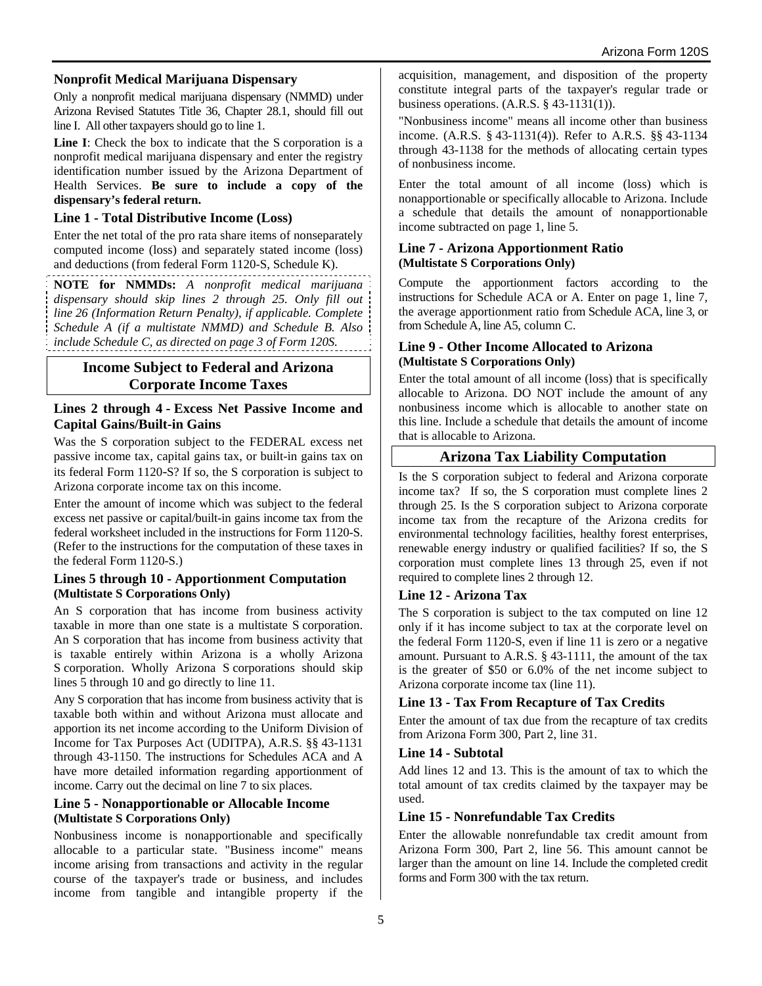## **Nonprofit Medical Marijuana Dispensary**

Only a nonprofit medical marijuana dispensary (NMMD) under Arizona Revised Statutes Title 36, Chapter 28.1, should fill out line I. All other taxpayers should go to line 1.

**Line I**: Check the box to indicate that the S corporation is a nonprofit medical marijuana dispensary and enter the registry identification number issued by the Arizona Department of Health Services. **Be sure to include a copy of the dispensary's federal return.**

#### **Line 1 - Total Distributive Income (Loss)**

Enter the net total of the pro rata share items of nonseparately computed income (loss) and separately stated income (loss) and deductions (from federal Form 1120-S, Schedule K).

**NOTE for NMMDs:** *A nonprofit medical marijuana dispensary should skip lines 2 through 25. Only fill out line 26 (Information Return Penalty), if applicable. Complete Schedule A (if a multistate NMMD) and Schedule B. Also include Schedule C, as directed on page 3 of Form 120S.*

# **Income Subject to Federal and Arizona Corporate Income Taxes**

#### **Lines 2 through 4 - Excess Net Passive Income and Capital Gains/Built-in Gains**

Was the S corporation subject to the FEDERAL excess net passive income tax, capital gains tax, or built-in gains tax on its federal Form 1120-S? If so, the S corporation is subject to Arizona corporate income tax on this income.

Enter the amount of income which was subject to the federal excess net passive or capital/built-in gains income tax from the federal worksheet included in the instructions for Form 1120-S. (Refer to the instructions for the computation of these taxes in the federal Form 1120-S.)

#### **Lines 5 through 10 - Apportionment Computation (Multistate S Corporations Only)**

An S corporation that has income from business activity taxable in more than one state is a multistate S corporation. An S corporation that has income from business activity that is taxable entirely within Arizona is a wholly Arizona S corporation. Wholly Arizona S corporations should skip lines 5 through 10 and go directly to line 11.

Any S corporation that has income from business activity that is taxable both within and without Arizona must allocate and apportion its net income according to the Uniform Division of Income for Tax Purposes Act (UDITPA), A.R.S. §§ 43-1131 through 43-1150. The instructions for Schedules ACA and A have more detailed information regarding apportionment of income. Carry out the decimal on line 7 to six places.

#### **Line 5 - Nonapportionable or Allocable Income (Multistate S Corporations Only)**

Nonbusiness income is nonapportionable and specifically allocable to a particular state. "Business income" means income arising from transactions and activity in the regular course of the taxpayer's trade or business, and includes income from tangible and intangible property if the

acquisition, management, and disposition of the property constitute integral parts of the taxpayer's regular trade or business operations. (A.R.S. § 43-1131(1)).

"Nonbusiness income" means all income other than business income. (A.R.S. § 43-1131(4)). Refer to A.R.S. §§ 43-1134 through 43-1138 for the methods of allocating certain types of nonbusiness income.

Enter the total amount of all income (loss) which is nonapportionable or specifically allocable to Arizona. Include a schedule that details the amount of nonapportionable income subtracted on page 1, line 5.

#### **Line 7 - Arizona Apportionment Ratio (Multistate S Corporations Only)**

Compute the apportionment factors according to the instructions for Schedule ACA or A. Enter on page 1, line 7, the average apportionment ratio from Schedule ACA, line 3, or from Schedule A, line A5, column C.

#### **Line 9 - Other Income Allocated to Arizona (Multistate S Corporations Only)**

Enter the total amount of all income (loss) that is specifically allocable to Arizona. DO NOT include the amount of any nonbusiness income which is allocable to another state on this line. Include a schedule that details the amount of income that is allocable to Arizona.

# **Arizona Tax Liability Computation**

Is the S corporation subject to federal and Arizona corporate income tax? If so, the S corporation must complete lines 2 through 25. Is the S corporation subject to Arizona corporate income tax from the recapture of the Arizona credits for environmental technology facilities, healthy forest enterprises, renewable energy industry or qualified facilities? If so, the S corporation must complete lines 13 through 25, even if not required to complete lines 2 through 12.

## **Line 12 - Arizona Tax**

The S corporation is subject to the tax computed on line 12 only if it has income subject to tax at the corporate level on the federal Form 1120-S, even if line 11 is zero or a negative amount. Pursuant to A.R.S. § 43-1111, the amount of the tax is the greater of \$50 or 6.0% of the net income subject to Arizona corporate income tax (line 11).

## **Line 13 - Tax From Recapture of Tax Credits**

Enter the amount of tax due from the recapture of tax credits from Arizona Form 300, Part 2, line 31.

## **Line 14 - Subtotal**

Add lines 12 and 13. This is the amount of tax to which the total amount of tax credits claimed by the taxpayer may be used.

## **Line 15 - Nonrefundable Tax Credits**

Enter the allowable nonrefundable tax credit amount from Arizona Form 300, Part 2, line 56. This amount cannot be larger than the amount on line 14. Include the completed credit forms and Form 300 with the tax return.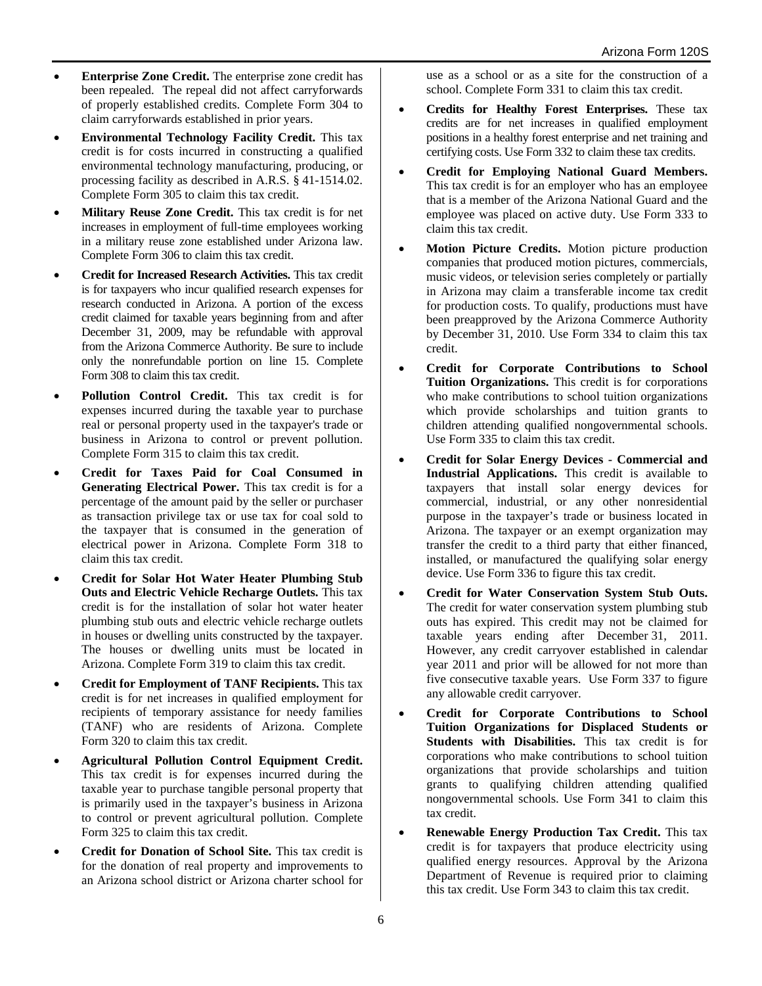- **Enterprise Zone Credit.** The enterprise zone credit has been repealed. The repeal did not affect carryforwards of properly established credits. Complete Form 304 to claim carryforwards established in prior years.
- **Environmental Technology Facility Credit.** This tax credit is for costs incurred in constructing a qualified environmental technology manufacturing, producing, or processing facility as described in A.R.S. § 41-1514.02. Complete Form 305 to claim this tax credit.
- **Military Reuse Zone Credit.** This tax credit is for net increases in employment of full-time employees working in a military reuse zone established under Arizona law. Complete Form 306 to claim this tax credit.
- **Credit for Increased Research Activities.** This tax credit is for taxpayers who incur qualified research expenses for research conducted in Arizona. A portion of the excess credit claimed for taxable years beginning from and after December 31, 2009, may be refundable with approval from the Arizona Commerce Authority. Be sure to include only the nonrefundable portion on line 15. Complete Form 308 to claim this tax credit.
- **Pollution Control Credit.** This tax credit is for expenses incurred during the taxable year to purchase real or personal property used in the taxpayer's trade or business in Arizona to control or prevent pollution. Complete Form 315 to claim this tax credit.
- **Credit for Taxes Paid for Coal Consumed in Generating Electrical Power.** This tax credit is for a percentage of the amount paid by the seller or purchaser as transaction privilege tax or use tax for coal sold to the taxpayer that is consumed in the generation of electrical power in Arizona. Complete Form 318 to claim this tax credit.
- **Credit for Solar Hot Water Heater Plumbing Stub Outs and Electric Vehicle Recharge Outlets.** This tax credit is for the installation of solar hot water heater plumbing stub outs and electric vehicle recharge outlets in houses or dwelling units constructed by the taxpayer. The houses or dwelling units must be located in Arizona. Complete Form 319 to claim this tax credit.
- **Credit for Employment of TANF Recipients.** This tax credit is for net increases in qualified employment for recipients of temporary assistance for needy families (TANF) who are residents of Arizona. Complete Form 320 to claim this tax credit.
- **Agricultural Pollution Control Equipment Credit.** This tax credit is for expenses incurred during the taxable year to purchase tangible personal property that is primarily used in the taxpayer's business in Arizona to control or prevent agricultural pollution. Complete Form 325 to claim this tax credit.
- **Credit for Donation of School Site.** This tax credit is for the donation of real property and improvements to an Arizona school district or Arizona charter school for

use as a school or as a site for the construction of a school. Complete Form 331 to claim this tax credit.

- **Credits for Healthy Forest Enterprises.** These tax credits are for net increases in qualified employment positions in a healthy forest enterprise and net training and certifying costs. Use Form 332 to claim these tax credits.
- **Credit for Employing National Guard Members.**  This tax credit is for an employer who has an employee that is a member of the Arizona National Guard and the employee was placed on active duty. Use Form 333 to claim this tax credit.
- **Motion Picture Credits.** Motion picture production companies that produced motion pictures, commercials, music videos, or television series completely or partially in Arizona may claim a transferable income tax credit for production costs. To qualify, productions must have been preapproved by the Arizona Commerce Authority by December 31, 2010. Use Form 334 to claim this tax credit.
- **Credit for Corporate Contributions to School Tuition Organizations.** This credit is for corporations who make contributions to school tuition organizations which provide scholarships and tuition grants to children attending qualified nongovernmental schools. Use Form 335 to claim this tax credit.
- **Credit for Solar Energy Devices Commercial and Industrial Applications.** This credit is available to taxpayers that install solar energy devices for commercial, industrial, or any other nonresidential purpose in the taxpayer's trade or business located in Arizona. The taxpayer or an exempt organization may transfer the credit to a third party that either financed, installed, or manufactured the qualifying solar energy device. Use Form 336 to figure this tax credit.
- **Credit for Water Conservation System Stub Outs.** The credit for water conservation system plumbing stub outs has expired. This credit may not be claimed for taxable years ending after December 31, 2011. However, any credit carryover established in calendar year 2011 and prior will be allowed for not more than five consecutive taxable years. Use Form 337 to figure any allowable credit carryover.
- **Credit for Corporate Contributions to School Tuition Organizations for Displaced Students or Students with Disabilities.** This tax credit is for corporations who make contributions to school tuition organizations that provide scholarships and tuition grants to qualifying children attending qualified nongovernmental schools. Use Form 341 to claim this tax credit.
- **Renewable Energy Production Tax Credit.** This tax credit is for taxpayers that produce electricity using qualified energy resources. Approval by the Arizona Department of Revenue is required prior to claiming this tax credit. Use Form 343 to claim this tax credit.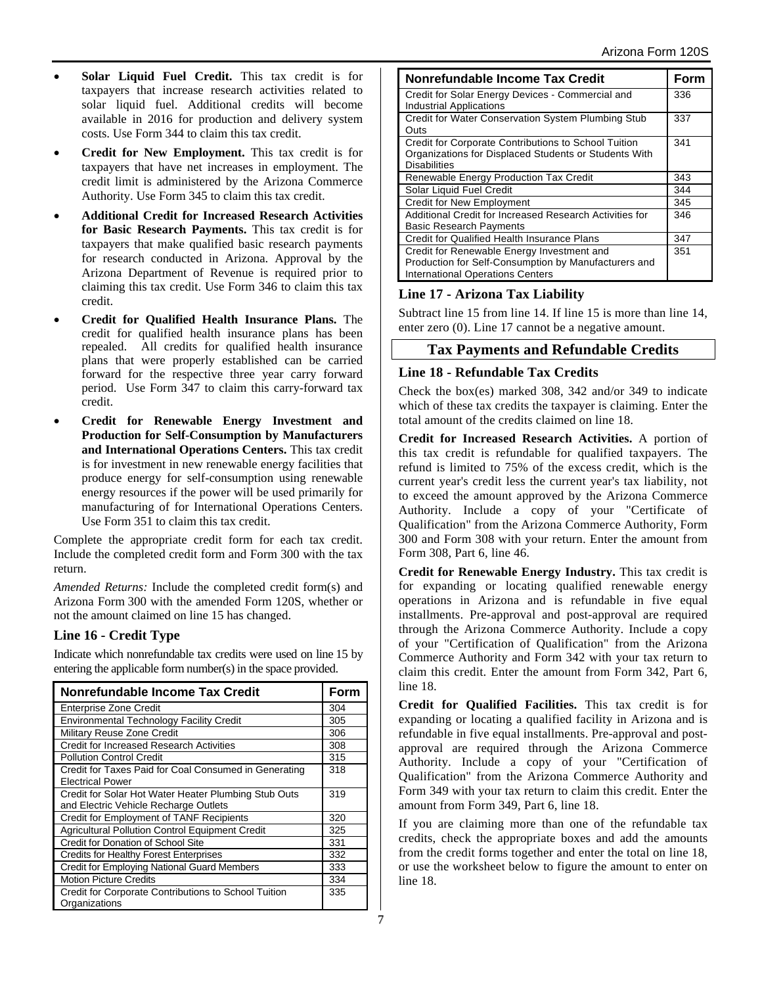- **Solar Liquid Fuel Credit.** This tax credit is for taxpayers that increase research activities related to solar liquid fuel. Additional credits will become available in 2016 for production and delivery system costs. Use Form 344 to claim this tax credit.
- **Credit for New Employment.** This tax credit is for taxpayers that have net increases in employment. The credit limit is administered by the Arizona Commerce Authority. Use Form 345 to claim this tax credit.
- **Additional Credit for Increased Research Activities for Basic Research Payments.** This tax credit is for taxpayers that make qualified basic research payments for research conducted in Arizona. Approval by the Arizona Department of Revenue is required prior to claiming this tax credit. Use Form 346 to claim this tax credit.
- **Credit for Qualified Health Insurance Plans.** The credit for qualified health insurance plans has been repealed. All credits for qualified health insurance plans that were properly established can be carried forward for the respective three year carry forward period. Use Form 347 to claim this carry-forward tax credit.
- **Credit for Renewable Energy Investment and Production for Self-Consumption by Manufacturers and International Operations Centers.** This tax credit is for investment in new renewable energy facilities that produce energy for self-consumption using renewable energy resources if the power will be used primarily for manufacturing of for International Operations Centers. Use Form 351 to claim this tax credit.

Complete the appropriate credit form for each tax credit. Include the completed credit form and Form 300 with the tax return.

*Amended Returns:* Include the completed credit form(s) and Arizona Form 300 with the amended Form 120S, whether or not the amount claimed on line 15 has changed.

# **Line 16 - Credit Type**

Indicate which nonrefundable tax credits were used on line 15 by entering the applicable form number(s) in the space provided.

| <b>Nonrefundable Income Tax Credit</b>                                                        |     |  |  |
|-----------------------------------------------------------------------------------------------|-----|--|--|
| <b>Enterprise Zone Credit</b>                                                                 | 304 |  |  |
| <b>Environmental Technology Facility Credit</b>                                               | 305 |  |  |
| Military Reuse Zone Credit                                                                    | 306 |  |  |
| <b>Credit for Increased Research Activities</b>                                               | 308 |  |  |
| <b>Pollution Control Credit</b>                                                               | 315 |  |  |
| Credit for Taxes Paid for Coal Consumed in Generating<br><b>Electrical Power</b>              | 318 |  |  |
| Credit for Solar Hot Water Heater Plumbing Stub Outs<br>and Electric Vehicle Recharge Outlets | 319 |  |  |
| Credit for Employment of TANF Recipients                                                      | 320 |  |  |
| <b>Agricultural Pollution Control Equipment Credit</b>                                        | 325 |  |  |
| Credit for Donation of School Site                                                            | 331 |  |  |
| <b>Credits for Healthy Forest Enterprises</b>                                                 | 332 |  |  |
| Credit for Employing National Guard Members                                                   | 333 |  |  |
| <b>Motion Picture Credits</b>                                                                 | 334 |  |  |
| Credit for Corporate Contributions to School Tuition<br>Organizations                         | 335 |  |  |

| Nonrefundable Income Tax Credit                                                                                                               | Form |
|-----------------------------------------------------------------------------------------------------------------------------------------------|------|
| Credit for Solar Energy Devices - Commercial and<br><b>Industrial Applications</b>                                                            | 336  |
| Credit for Water Conservation System Plumbing Stub<br>Outs                                                                                    | 337  |
| Credit for Corporate Contributions to School Tuition<br>Organizations for Displaced Students or Students With<br><b>Disabilities</b>          | 341  |
| Renewable Energy Production Tax Credit                                                                                                        | 343  |
| Solar Liquid Fuel Credit                                                                                                                      | 344  |
| <b>Credit for New Employment</b>                                                                                                              | 345  |
| Additional Credit for Increased Research Activities for<br><b>Basic Research Payments</b>                                                     | 346  |
| Credit for Qualified Health Insurance Plans                                                                                                   | 347  |
| Credit for Renewable Energy Investment and<br>Production for Self-Consumption by Manufacturers and<br><b>International Operations Centers</b> | 351  |

# **Line 17 - Arizona Tax Liability**

Subtract line 15 from line 14. If line 15 is more than line 14, enter zero (0). Line 17 cannot be a negative amount.

# **Tax Payments and Refundable Credits**

## **Line 18 - Refundable Tax Credits**

Check the box(es) marked 308, 342 and/or 349 to indicate which of these tax credits the taxpayer is claiming. Enter the total amount of the credits claimed on line 18.

**Credit for Increased Research Activities.** A portion of this tax credit is refundable for qualified taxpayers. The refund is limited to 75% of the excess credit, which is the current year's credit less the current year's tax liability, not to exceed the amount approved by the Arizona Commerce Authority. Include a copy of your "Certificate of Qualification" from the Arizona Commerce Authority, Form 300 and Form 308 with your return. Enter the amount from Form 308, Part 6, line 46.

**Credit for Renewable Energy Industry.** This tax credit is for expanding or locating qualified renewable energy operations in Arizona and is refundable in five equal installments. Pre-approval and post-approval are required through the Arizona Commerce Authority. Include a copy of your "Certification of Qualification" from the Arizona Commerce Authority and Form 342 with your tax return to claim this credit. Enter the amount from Form 342, Part 6, line 18.

**Credit for Qualified Facilities.** This tax credit is for expanding or locating a qualified facility in Arizona and is refundable in five equal installments. Pre-approval and postapproval are required through the Arizona Commerce Authority. Include a copy of your "Certification of Qualification" from the Arizona Commerce Authority and Form 349 with your tax return to claim this credit. Enter the amount from Form 349, Part 6, line 18.

If you are claiming more than one of the refundable tax credits, check the appropriate boxes and add the amounts from the credit forms together and enter the total on line 18, or use the worksheet below to figure the amount to enter on line 18.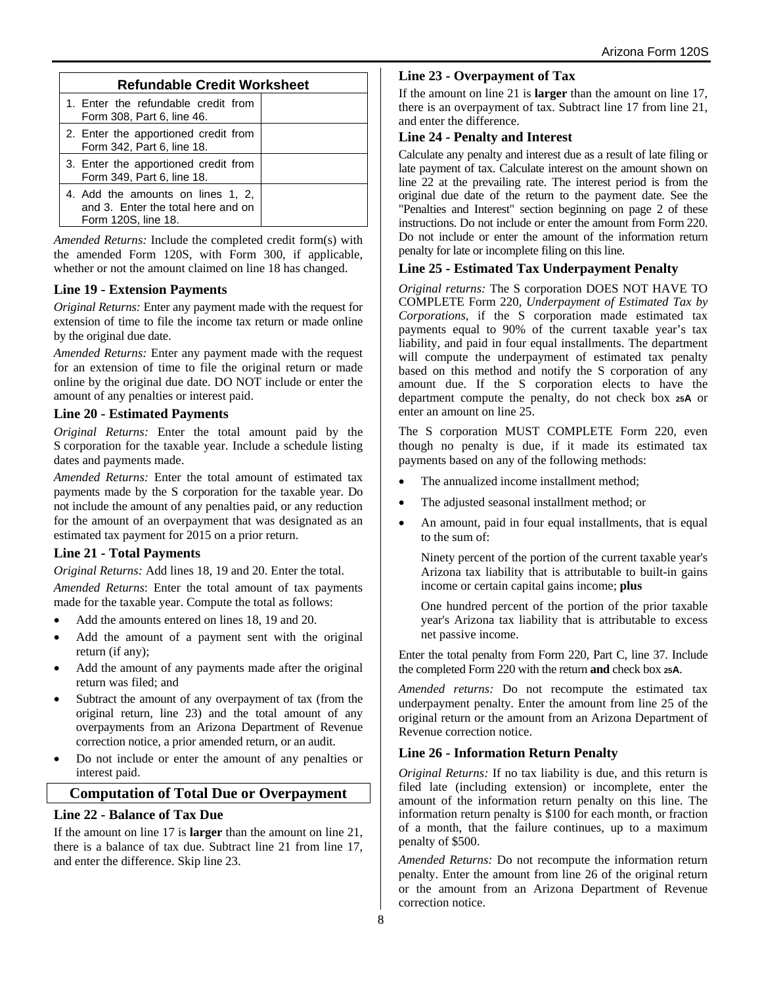| <b>Refundable Credit Worksheet</b>                                                             |  |  |  |  |
|------------------------------------------------------------------------------------------------|--|--|--|--|
| 1. Enter the refundable credit from<br>Form 308, Part 6, line 46.                              |  |  |  |  |
| 2. Enter the apportioned credit from<br>Form 342, Part 6, line 18.                             |  |  |  |  |
| 3. Enter the apportioned credit from<br>Form 349, Part 6, line 18.                             |  |  |  |  |
| 4. Add the amounts on lines 1, 2,<br>and 3. Enter the total here and on<br>Form 120S, line 18. |  |  |  |  |

*Amended Returns:* Include the completed credit form(s) with the amended Form 120S, with Form 300, if applicable, whether or not the amount claimed on line 18 has changed.

## **Line 19 - Extension Payments**

*Original Returns:* Enter any payment made with the request for extension of time to file the income tax return or made online by the original due date.

*Amended Returns:* Enter any payment made with the request for an extension of time to file the original return or made online by the original due date. DO NOT include or enter the amount of any penalties or interest paid.

## **Line 20 - Estimated Payments**

*Original Returns:* Enter the total amount paid by the S corporation for the taxable year. Include a schedule listing dates and payments made.

*Amended Returns:* Enter the total amount of estimated tax payments made by the S corporation for the taxable year. Do not include the amount of any penalties paid, or any reduction for the amount of an overpayment that was designated as an estimated tax payment for 2015 on a prior return.

## **Line 21 - Total Payments**

*Original Returns:* Add lines 18, 19 and 20. Enter the total.

*Amended Returns*: Enter the total amount of tax payments made for the taxable year. Compute the total as follows:

- Add the amounts entered on lines 18, 19 and 20.
- Add the amount of a payment sent with the original return (if any);
- Add the amount of any payments made after the original return was filed; and
- Subtract the amount of any overpayment of tax (from the original return, line 23) and the total amount of any overpayments from an Arizona Department of Revenue correction notice, a prior amended return, or an audit.
- Do not include or enter the amount of any penalties or interest paid.

## **Computation of Total Due or Overpayment**

#### **Line 22 - Balance of Tax Due**

If the amount on line 17 is **larger** than the amount on line 21, there is a balance of tax due. Subtract line 21 from line 17, and enter the difference. Skip line 23.

#### **Line 23 - Overpayment of Tax**

If the amount on line 21 is **larger** than the amount on line 17, there is an overpayment of tax. Subtract line 17 from line 21, and enter the difference.

#### **Line 24 - Penalty and Interest**

Calculate any penalty and interest due as a result of late filing or late payment of tax. Calculate interest on the amount shown on line 22 at the prevailing rate. The interest period is from the original due date of the return to the payment date. See the "Penalties and Interest" section beginning on page 2 of these instructions. Do not include or enter the amount from Form 220. Do not include or enter the amount of the information return penalty for late or incomplete filing on this line.

#### **Line 25 - Estimated Tax Underpayment Penalty**

*Original returns:* The S corporation DOES NOT HAVE TO COMPLETE Form 220, *Underpayment of Estimated Tax by Corporations*, if the S corporation made estimated tax payments equal to 90% of the current taxable year's tax liability, and paid in four equal installments. The department will compute the underpayment of estimated tax penalty based on this method and notify the S corporation of any amount due. If the S corporation elects to have the department compute the penalty, do not check box **25A** or enter an amount on line 25.

The S corporation MUST COMPLETE Form 220, even though no penalty is due, if it made its estimated tax payments based on any of the following methods:

- The annualized income installment method;
- The adjusted seasonal installment method; or
- An amount, paid in four equal installments, that is equal to the sum of:

Ninety percent of the portion of the current taxable year's Arizona tax liability that is attributable to built-in gains income or certain capital gains income; **plus**

One hundred percent of the portion of the prior taxable year's Arizona tax liability that is attributable to excess net passive income.

Enter the total penalty from Form 220, Part C, line 37. Include the completed Form 220 with the return **and** check box **25A**.

*Amended returns:* Do not recompute the estimated tax underpayment penalty. Enter the amount from line 25 of the original return or the amount from an Arizona Department of Revenue correction notice.

## **Line 26 - Information Return Penalty**

*Original Returns:* If no tax liability is due, and this return is filed late (including extension) or incomplete, enter the amount of the information return penalty on this line. The information return penalty is \$100 for each month, or fraction of a month, that the failure continues, up to a maximum penalty of \$500.

*Amended Returns:* Do not recompute the information return penalty. Enter the amount from line 26 of the original return or the amount from an Arizona Department of Revenue correction notice.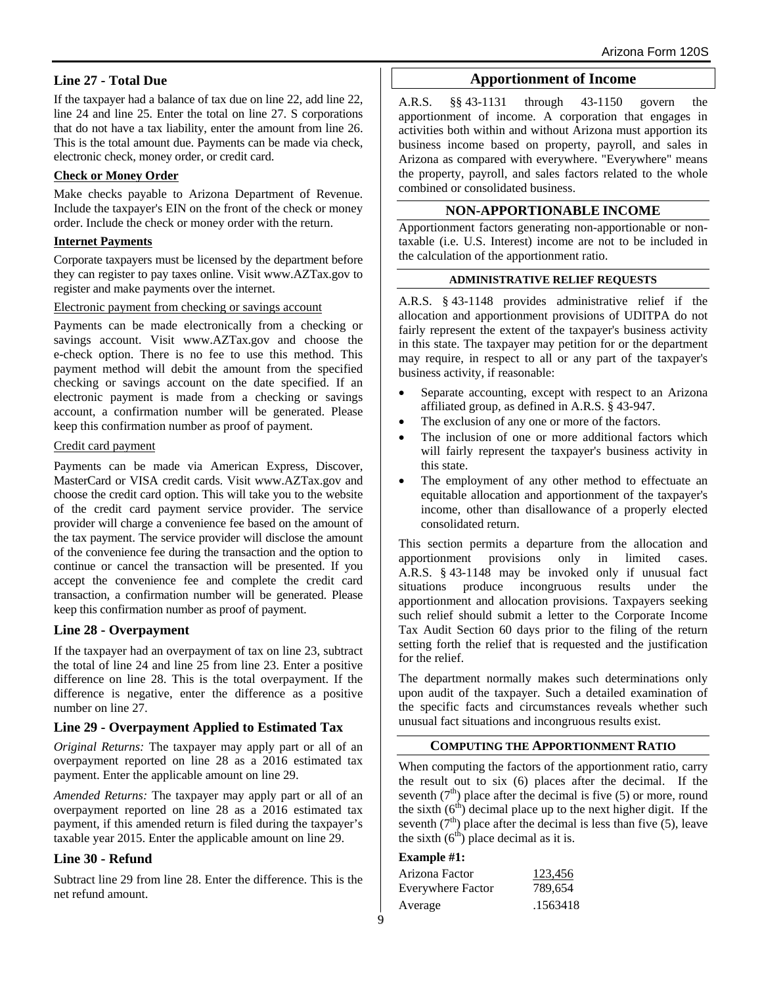## **Line 27 - Total Due**

If the taxpayer had a balance of tax due on line 22, add line 22, line 24 and line 25. Enter the total on line 27. S corporations that do not have a tax liability, enter the amount from line 26. This is the total amount due. Payments can be made via check, electronic check, money order, or credit card.

#### **Check or Money Order**

Make checks payable to Arizona Department of Revenue. Include the taxpayer's EIN on the front of the check or money order. Include the check or money order with the return.

#### **Internet Payments**

Corporate taxpayers must be licensed by the department before they can register to pay taxes online. Visit www.AZTax.gov to register and make payments over the internet.

#### Electronic payment from checking or savings account

Payments can be made electronically from a checking or savings account. Visit www.AZTax.gov and choose the e-check option. There is no fee to use this method. This payment method will debit the amount from the specified checking or savings account on the date specified. If an electronic payment is made from a checking or savings account, a confirmation number will be generated. Please keep this confirmation number as proof of payment.

#### Credit card payment

Payments can be made via American Express, Discover, MasterCard or VISA credit cards. Visit www.AZTax.gov and choose the credit card option. This will take you to the website of the credit card payment service provider. The service provider will charge a convenience fee based on the amount of the tax payment. The service provider will disclose the amount of the convenience fee during the transaction and the option to continue or cancel the transaction will be presented. If you accept the convenience fee and complete the credit card transaction, a confirmation number will be generated. Please keep this confirmation number as proof of payment.

## **Line 28 - Overpayment**

If the taxpayer had an overpayment of tax on line 23, subtract the total of line 24 and line 25 from line 23. Enter a positive difference on line 28. This is the total overpayment. If the difference is negative, enter the difference as a positive number on line 27.

## **Line 29 - Overpayment Applied to Estimated Tax**

*Original Returns:* The taxpayer may apply part or all of an overpayment reported on line 28 as a 2016 estimated tax payment. Enter the applicable amount on line 29.

*Amended Returns:* The taxpayer may apply part or all of an overpayment reported on line 28 as a 2016 estimated tax payment, if this amended return is filed during the taxpayer's taxable year 2015. Enter the applicable amount on line 29.

## **Line 30 - Refund**

Subtract line 29 from line 28. Enter the difference. This is the net refund amount.

## **Apportionment of Income**

A.R.S. §§ 43-1131 through 43-1150 govern the apportionment of income. A corporation that engages in activities both within and without Arizona must apportion its business income based on property, payroll, and sales in Arizona as compared with everywhere. "Everywhere" means the property, payroll, and sales factors related to the whole combined or consolidated business.

#### **NON-APPORTIONABLE INCOME**

Apportionment factors generating non-apportionable or nontaxable (i.e. U.S. Interest) income are not to be included in the calculation of the apportionment ratio.

#### **ADMINISTRATIVE RELIEF REQUESTS**

A.R.S. § 43-1148 provides administrative relief if the allocation and apportionment provisions of UDITPA do not fairly represent the extent of the taxpayer's business activity in this state. The taxpayer may petition for or the department may require, in respect to all or any part of the taxpayer's business activity, if reasonable:

- Separate accounting, except with respect to an Arizona affiliated group, as defined in A.R.S. § 43-947.
- The exclusion of any one or more of the factors.
- The inclusion of one or more additional factors which will fairly represent the taxpayer's business activity in this state.
- The employment of any other method to effectuate an equitable allocation and apportionment of the taxpayer's income, other than disallowance of a properly elected consolidated return.

This section permits a departure from the allocation and apportionment provisions only in limited cases. A.R.S. § 43-1148 may be invoked only if unusual fact situations produce incongruous results under the apportionment and allocation provisions. Taxpayers seeking such relief should submit a letter to the Corporate Income Tax Audit Section 60 days prior to the filing of the return setting forth the relief that is requested and the justification for the relief.

The department normally makes such determinations only upon audit of the taxpayer. Such a detailed examination of the specific facts and circumstances reveals whether such unusual fact situations and incongruous results exist.

#### **COMPUTING THE APPORTIONMENT RATIO**

When computing the factors of the apportionment ratio, carry the result out to six (6) places after the decimal. If the seventh  $(7<sup>th</sup>)$  place after the decimal is five (5) or more, round the sixth  $(6<sup>th</sup>)$  decimal place up to the next higher digit. If the seventh  $(7<sup>th</sup>)$  place after the decimal is less than five (5), leave the sixth  $(6<sup>th</sup>)$  place decimal as it is.

#### **Example #1:**

| Arizona Factor           | 123,456  |
|--------------------------|----------|
| <b>Everywhere Factor</b> | 789,654  |
| Average                  | .1563418 |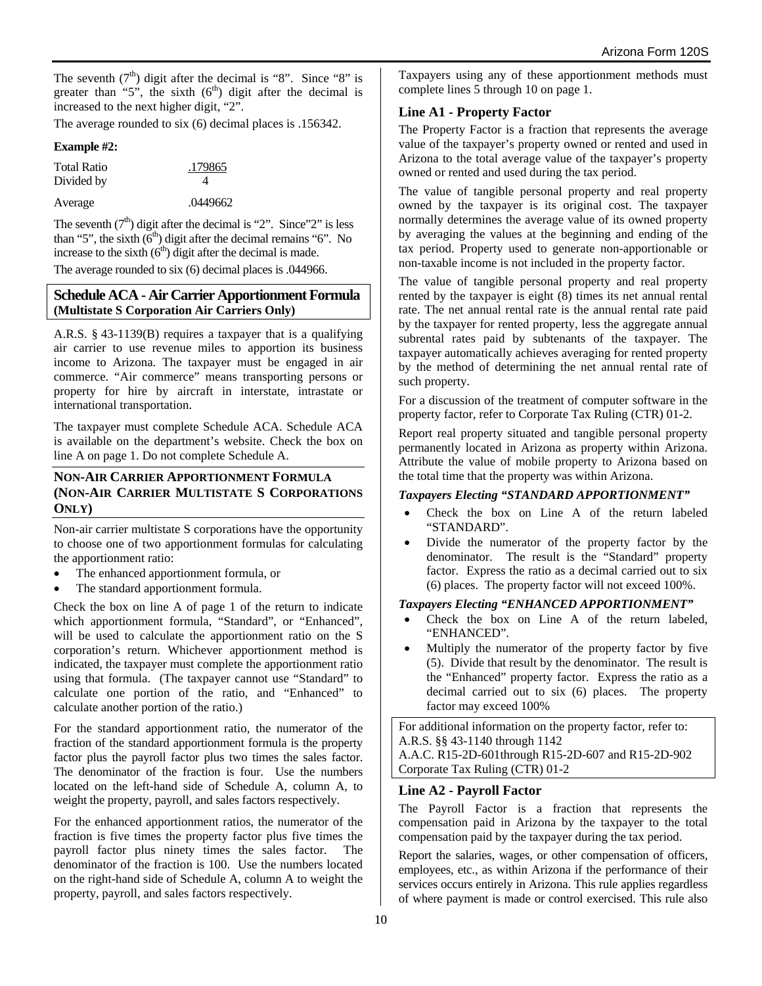The seventh  $(7<sup>th</sup>)$  digit after the decimal is "8". Since "8" is greater than "5", the sixth  $(6<sup>th</sup>)$  digit after the decimal is increased to the next higher digit, "2".

The average rounded to six (6) decimal places is .156342.

#### **Example #2:**

| <b>Total Ratio</b> | .179865  |  |  |
|--------------------|----------|--|--|
| Divided by         | Δ        |  |  |
| Average            | .0449662 |  |  |

The seventh  $(7<sup>th</sup>)$  digit after the decimal is "2". Since"2" is less than "5", the sixth  $(6<sup>th</sup>)$  digit after the decimal remains "6". No increase to the sixth  $(6<sup>th</sup>)$  digit after the decimal is made.

The average rounded to six (6) decimal places is .044966.

## **Schedule ACA - Air Carrier Apportionment Formula (Multistate S Corporation Air Carriers Only)**

A.R.S. § 43-1139(B) requires a taxpayer that is a qualifying air carrier to use revenue miles to apportion its business income to Arizona. The taxpayer must be engaged in air commerce. "Air commerce" means transporting persons or property for hire by aircraft in interstate, intrastate or international transportation.

The taxpayer must complete Schedule ACA. Schedule ACA is available on the department's website. Check the box on line A on page 1. Do not complete Schedule A.

#### **NON-AIR CARRIER APPORTIONMENT FORMULA (NON-AIR CARRIER MULTISTATE S CORPORATIONS ONLY)**

Non-air carrier multistate S corporations have the opportunity to choose one of two apportionment formulas for calculating the apportionment ratio:

- The enhanced apportionment formula, or
- The standard apportionment formula.

Check the box on line A of page 1 of the return to indicate which apportionment formula, "Standard", or "Enhanced", will be used to calculate the apportionment ratio on the S corporation's return. Whichever apportionment method is indicated, the taxpayer must complete the apportionment ratio using that formula. (The taxpayer cannot use "Standard" to calculate one portion of the ratio, and "Enhanced" to calculate another portion of the ratio.)

For the standard apportionment ratio, the numerator of the fraction of the standard apportionment formula is the property factor plus the payroll factor plus two times the sales factor. The denominator of the fraction is four. Use the numbers located on the left-hand side of Schedule A, column A, to weight the property, payroll, and sales factors respectively.

For the enhanced apportionment ratios, the numerator of the fraction is five times the property factor plus five times the payroll factor plus ninety times the sales factor. The denominator of the fraction is 100. Use the numbers located on the right-hand side of Schedule A, column A to weight the property, payroll, and sales factors respectively.

Taxpayers using any of these apportionment methods must complete lines 5 through 10 on page 1.

## **Line A1 - Property Factor**

The Property Factor is a fraction that represents the average value of the taxpayer's property owned or rented and used in Arizona to the total average value of the taxpayer's property owned or rented and used during the tax period.

The value of tangible personal property and real property owned by the taxpayer is its original cost. The taxpayer normally determines the average value of its owned property by averaging the values at the beginning and ending of the tax period. Property used to generate non-apportionable or non-taxable income is not included in the property factor.

The value of tangible personal property and real property rented by the taxpayer is eight (8) times its net annual rental rate. The net annual rental rate is the annual rental rate paid by the taxpayer for rented property, less the aggregate annual subrental rates paid by subtenants of the taxpayer. The taxpayer automatically achieves averaging for rented property by the method of determining the net annual rental rate of such property.

For a discussion of the treatment of computer software in the property factor, refer to Corporate Tax Ruling (CTR) 01-2.

Report real property situated and tangible personal property permanently located in Arizona as property within Arizona. Attribute the value of mobile property to Arizona based on the total time that the property was within Arizona.

## *Taxpayers Electing "STANDARD APPORTIONMENT"*

- Check the box on Line A of the return labeled "STANDARD".
- Divide the numerator of the property factor by the denominator. The result is the "Standard" property factor. Express the ratio as a decimal carried out to six (6) places. The property factor will not exceed 100%.

## *Taxpayers Electing "ENHANCED APPORTIONMENT"*

- Check the box on Line A of the return labeled, "ENHANCED".
- Multiply the numerator of the property factor by five (5). Divide that result by the denominator. The result is the "Enhanced" property factor. Express the ratio as a decimal carried out to six (6) places. The property factor may exceed 100%

For additional information on the property factor, refer to: A.R.S. §§ 43-1140 through 1142 A.A.C. R15-2D-601through R15-2D-607 and R15-2D-902 Corporate Tax Ruling (CTR) 01-2

## **Line A2 - Payroll Factor**

The Payroll Factor is a fraction that represents the compensation paid in Arizona by the taxpayer to the total compensation paid by the taxpayer during the tax period.

Report the salaries, wages, or other compensation of officers, employees, etc., as within Arizona if the performance of their services occurs entirely in Arizona. This rule applies regardless of where payment is made or control exercised. This rule also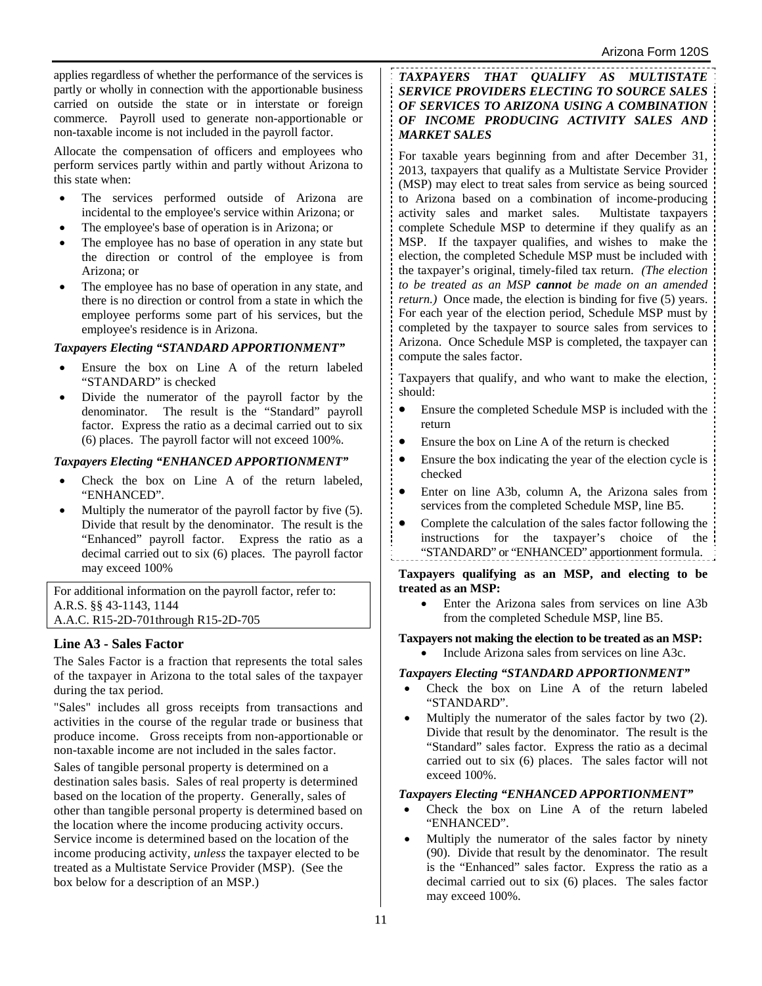applies regardless of whether the performance of the services is partly or wholly in connection with the apportionable business carried on outside the state or in interstate or foreign commerce. Payroll used to generate non-apportionable or non-taxable income is not included in the payroll factor.

Allocate the compensation of officers and employees who perform services partly within and partly without Arizona to this state when:

- The services performed outside of Arizona are incidental to the employee's service within Arizona; or
- The employee's base of operation is in Arizona; or
- The employee has no base of operation in any state but the direction or control of the employee is from Arizona; or
- The employee has no base of operation in any state, and there is no direction or control from a state in which the employee performs some part of his services, but the employee's residence is in Arizona.

## *Taxpayers Electing "STANDARD APPORTIONMENT"*

- Ensure the box on Line A of the return labeled "STANDARD" is checked
- Divide the numerator of the payroll factor by the denominator. The result is the "Standard" payroll factor. Express the ratio as a decimal carried out to six (6) places. The payroll factor will not exceed 100%.

## *Taxpayers Electing "ENHANCED APPORTIONMENT"*

- Check the box on Line A of the return labeled, "ENHANCED".
- Multiply the numerator of the payroll factor by five (5). Divide that result by the denominator. The result is the "Enhanced" payroll factor. Express the ratio as a decimal carried out to six (6) places. The payroll factor may exceed 100%

For additional information on the payroll factor, refer to: A.R.S. §§ 43-1143, 1144 A.A.C. R15-2D-701through R15-2D-705

# **Line A3 - Sales Factor**

The Sales Factor is a fraction that represents the total sales of the taxpayer in Arizona to the total sales of the taxpayer during the tax period.

"Sales" includes all gross receipts from transactions and activities in the course of the regular trade or business that produce income. Gross receipts from non-apportionable or non-taxable income are not included in the sales factor.

Sales of tangible personal property is determined on a destination sales basis. Sales of real property is determined based on the location of the property. Generally, sales of other than tangible personal property is determined based on the location where the income producing activity occurs. Service income is determined based on the location of the income producing activity, *unless* the taxpayer elected to be treated as a Multistate Service Provider (MSP). (See the box below for a description of an MSP.)

*TAXPAYERS THAT QUALIFY AS MULTISTATE SERVICE PROVIDERS ELECTING TO SOURCE SALES OF SERVICES TO ARIZONA USING A COMBINATION OF INCOME PRODUCING ACTIVITY SALES AND MARKET SALES* 

For taxable years beginning from and after December 31, 2013, taxpayers that qualify as a Multistate Service Provider (MSP) may elect to treat sales from service as being sourced to Arizona based on a combination of income-producing activity sales and market sales. Multistate taxpayers complete Schedule MSP to determine if they qualify as an MSP. If the taxpayer qualifies, and wishes to make the election, the completed Schedule MSP must be included with the taxpayer's original, timely-filed tax return. *(The election to be treated as an MSP cannot be made on an amended return.)* Once made, the election is binding for five (5) years. For each year of the election period, Schedule MSP must by completed by the taxpayer to source sales from services to Arizona. Once Schedule MSP is completed, the taxpayer can compute the sales factor.

Taxpayers that qualify, and who want to make the election, should:

- Ensure the completed Schedule MSP is included with the return
- Ensure the box on Line A of the return is checked
- Ensure the box indicating the year of the election cycle is checked
- Enter on line A3b, column A, the Arizona sales from services from the completed Schedule MSP, line B5.
- Complete the calculation of the sales factor following the instructions for the taxpayer's choice of the "STANDARD" or "ENHANCED" apportionment formula.

**Taxpayers qualifying as an MSP, and electing to be treated as an MSP:**

 Enter the Arizona sales from services on line A3b from the completed Schedule MSP, line B5.

#### **Taxpayers not making the election to be treated as an MSP:** Include Arizona sales from services on line A3c.

## *Taxpayers Electing "STANDARD APPORTIONMENT"*

- Check the box on Line A of the return labeled "STANDARD".
- Multiply the numerator of the sales factor by two (2). Divide that result by the denominator. The result is the "Standard" sales factor. Express the ratio as a decimal carried out to six (6) places. The sales factor will not exceed 100%.

#### *Taxpayers Electing "ENHANCED APPORTIONMENT"*

- Check the box on Line A of the return labeled "ENHANCED".
- Multiply the numerator of the sales factor by ninety (90). Divide that result by the denominator. The result is the "Enhanced" sales factor. Express the ratio as a decimal carried out to six (6) places. The sales factor may exceed 100%.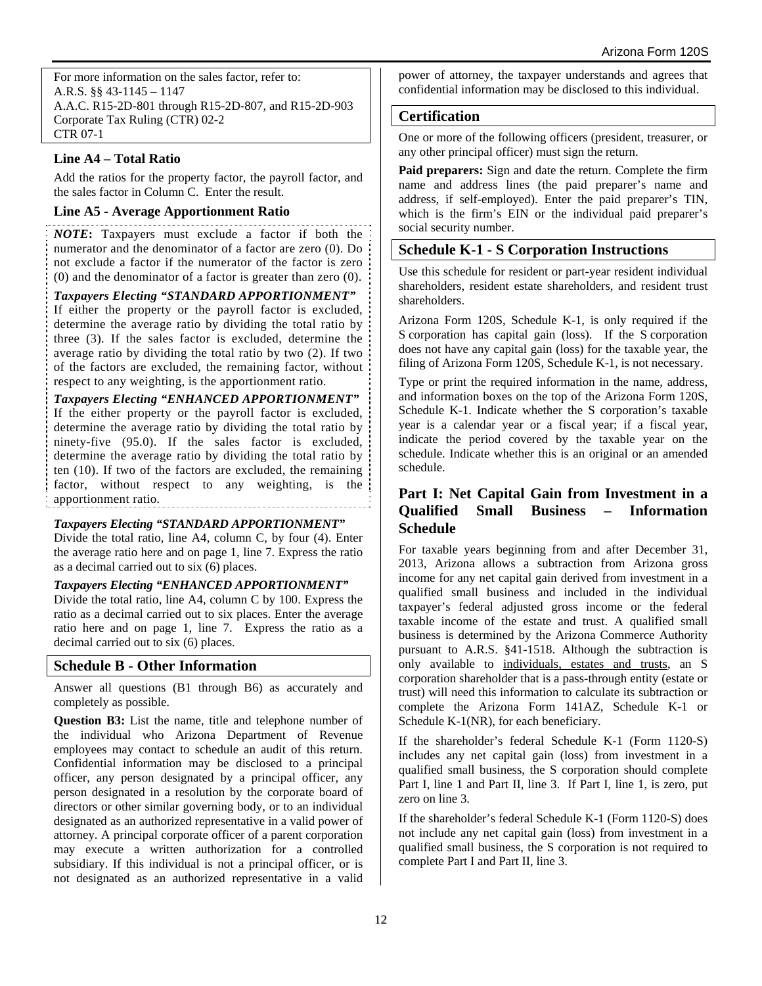For more information on the sales factor, refer to: A.R.S. §§ 43-1145 – 1147 A.A.C. R15-2D-801 through R15-2D-807, and R15-2D-903 Corporate Tax Ruling (CTR) 02-2 CTR 07-1

# **Line A4 – Total Ratio**

Add the ratios for the property factor, the payroll factor, and the sales factor in Column C. Enter the result.

# **Line A5 - Average Apportionment Ratio**

*NOTE***:** Taxpayers must exclude a factor if both the numerator and the denominator of a factor are zero (0). Do not exclude a factor if the numerator of the factor is zero (0) and the denominator of a factor is greater than zero (0).

## *Taxpayers Electing "STANDARD APPORTIONMENT"*

If either the property or the payroll factor is excluded, determine the average ratio by dividing the total ratio by three (3). If the sales factor is excluded, determine the average ratio by dividing the total ratio by two (2). If two of the factors are excluded, the remaining factor, without respect to any weighting, is the apportionment ratio.

*Taxpayers Electing "ENHANCED APPORTIONMENT"*  If the either property or the payroll factor is excluded, determine the average ratio by dividing the total ratio by ninety-five (95.0). If the sales factor is excluded, determine the average ratio by dividing the total ratio by ten (10). If two of the factors are excluded, the remaining factor, without respect to any weighting, is the apportionment ratio*.* 

# *Taxpayers Electing "STANDARD APPORTIONMENT"*

Divide the total ratio, line A4, column C, by four (4). Enter the average ratio here and on page 1, line 7. Express the ratio as a decimal carried out to six (6) places.

# *Taxpayers Electing "ENHANCED APPORTIONMENT"*

Divide the total ratio, line A4, column C by 100. Express the ratio as a decimal carried out to six places. Enter the average ratio here and on page 1, line 7. Express the ratio as a decimal carried out to six (6) places.

# **Schedule B - Other Information**

Answer all questions (B1 through B6) as accurately and completely as possible.

**Question B3:** List the name, title and telephone number of the individual who Arizona Department of Revenue employees may contact to schedule an audit of this return. Confidential information may be disclosed to a principal officer, any person designated by a principal officer, any person designated in a resolution by the corporate board of directors or other similar governing body, or to an individual designated as an authorized representative in a valid power of attorney. A principal corporate officer of a parent corporation may execute a written authorization for a controlled subsidiary. If this individual is not a principal officer, or is not designated as an authorized representative in a valid

power of attorney, the taxpayer understands and agrees that confidential information may be disclosed to this individual.

# **Certification**

One or more of the following officers (president, treasurer, or any other principal officer) must sign the return.

**Paid preparers:** Sign and date the return. Complete the firm name and address lines (the paid preparer's name and address, if self-employed). Enter the paid preparer's TIN, which is the firm's EIN or the individual paid preparer's social security number.

# **Schedule K-1 - S Corporation Instructions**

Use this schedule for resident or part-year resident individual shareholders, resident estate shareholders, and resident trust shareholders.

Arizona Form 120S, Schedule K-1, is only required if the S corporation has capital gain (loss). If the S corporation does not have any capital gain (loss) for the taxable year, the filing of Arizona Form 120S, Schedule K-1, is not necessary.

Type or print the required information in the name, address, and information boxes on the top of the Arizona Form 120S, Schedule K-1. Indicate whether the S corporation's taxable year is a calendar year or a fiscal year; if a fiscal year, indicate the period covered by the taxable year on the schedule. Indicate whether this is an original or an amended schedule.

# **Part I: Net Capital Gain from Investment in a Qualified Small Business – Information Schedule**

For taxable years beginning from and after December 31, 2013, Arizona allows a subtraction from Arizona gross income for any net capital gain derived from investment in a qualified small business and included in the individual taxpayer's federal adjusted gross income or the federal taxable income of the estate and trust. A qualified small business is determined by the Arizona Commerce Authority pursuant to A.R.S. §41-1518. Although the subtraction is only available to individuals, estates and trusts, an S corporation shareholder that is a pass-through entity (estate or trust) will need this information to calculate its subtraction or complete the Arizona Form 141AZ, Schedule K-1 or Schedule K-1(NR), for each beneficiary.

If the shareholder's federal Schedule K-1 (Form 1120-S) includes any net capital gain (loss) from investment in a qualified small business, the S corporation should complete Part I, line 1 and Part II, line 3. If Part I, line 1, is zero, put zero on line 3.

If the shareholder's federal Schedule K-1 (Form 1120-S) does not include any net capital gain (loss) from investment in a qualified small business, the S corporation is not required to complete Part I and Part II, line 3.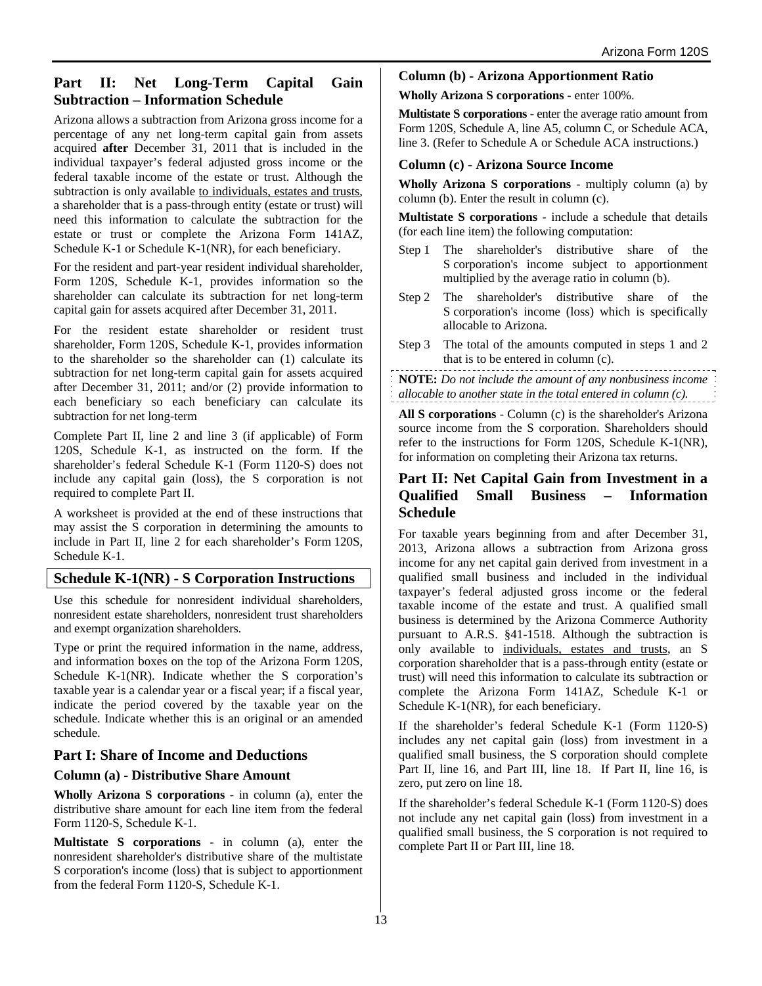# **Part II: Net Long-Term Capital Gain Subtraction – Information Schedule**

Arizona allows a subtraction from Arizona gross income for a percentage of any net long-term capital gain from assets acquired **after** December 31, 2011 that is included in the individual taxpayer's federal adjusted gross income or the federal taxable income of the estate or trust. Although the subtraction is only available to individuals, estates and trusts, a shareholder that is a pass-through entity (estate or trust) will need this information to calculate the subtraction for the estate or trust or complete the Arizona Form 141AZ, Schedule K-1 or Schedule K-1(NR), for each beneficiary.

For the resident and part-year resident individual shareholder, Form 120S, Schedule K-1, provides information so the shareholder can calculate its subtraction for net long-term capital gain for assets acquired after December 31, 2011.

For the resident estate shareholder or resident trust shareholder, Form 120S, Schedule K-1, provides information to the shareholder so the shareholder can (1) calculate its subtraction for net long-term capital gain for assets acquired after December 31, 2011; and/or (2) provide information to each beneficiary so each beneficiary can calculate its subtraction for net long-term

Complete Part II, line 2 and line 3 (if applicable) of Form 120S, Schedule K-1, as instructed on the form. If the shareholder's federal Schedule K-1 (Form 1120-S) does not include any capital gain (loss), the S corporation is not required to complete Part II.

A worksheet is provided at the end of these instructions that may assist the S corporation in determining the amounts to include in Part II, line 2 for each shareholder's Form 120S, Schedule K-1.

# **Schedule K-1(NR) - S Corporation Instructions**

Use this schedule for nonresident individual shareholders, nonresident estate shareholders, nonresident trust shareholders and exempt organization shareholders.

Type or print the required information in the name, address, and information boxes on the top of the Arizona Form 120S, Schedule K-1(NR). Indicate whether the S corporation's taxable year is a calendar year or a fiscal year; if a fiscal year, indicate the period covered by the taxable year on the schedule. Indicate whether this is an original or an amended schedule.

# **Part I: Share of Income and Deductions**

# **Column (a) - Distributive Share Amount**

**Wholly Arizona S corporations** - in column (a), enter the distributive share amount for each line item from the federal Form 1120-S, Schedule K-1.

**Multistate S corporations -** in column (a), enter the nonresident shareholder's distributive share of the multistate S corporation's income (loss) that is subject to apportionment from the federal Form 1120-S, Schedule K-1.

**Column (b) - Arizona Apportionment Ratio**

**Wholly Arizona S corporations -** enter 100%.

**Multistate S corporations** - enter the average ratio amount from Form 120S, Schedule A, line A5, column C, or Schedule ACA, line 3. (Refer to Schedule A or Schedule ACA instructions.)

## **Column (c) - Arizona Source Income**

**Wholly Arizona S corporations** - multiply column (a) by column (b). Enter the result in column (c).

**Multistate S corporations -** include a schedule that details (for each line item) the following computation:

- Step 1 The shareholder's distributive share of the S corporation's income subject to apportionment multiplied by the average ratio in column (b).
- Step 2 The shareholder's distributive share of the S corporation's income (loss) which is specifically allocable to Arizona.
- Step 3 The total of the amounts computed in steps 1 and 2 that is to be entered in column (c).

**NOTE:** *Do not include the amount of any nonbusiness income allocable to another state in the total entered in column (c).*

**All S corporations** - Column (c) is the shareholder's Arizona source income from the S corporation. Shareholders should refer to the instructions for Form 120S, Schedule K-1(NR), for information on completing their Arizona tax returns.

# **Part II: Net Capital Gain from Investment in a Qualified Small Business – Information Schedule**

For taxable years beginning from and after December 31, 2013, Arizona allows a subtraction from Arizona gross income for any net capital gain derived from investment in a qualified small business and included in the individual taxpayer's federal adjusted gross income or the federal taxable income of the estate and trust. A qualified small business is determined by the Arizona Commerce Authority pursuant to A.R.S. §41-1518. Although the subtraction is only available to individuals, estates and trusts, an S corporation shareholder that is a pass-through entity (estate or trust) will need this information to calculate its subtraction or complete the Arizona Form 141AZ, Schedule K-1 or Schedule K-1(NR), for each beneficiary.

If the shareholder's federal Schedule K-1 (Form 1120-S) includes any net capital gain (loss) from investment in a qualified small business, the S corporation should complete Part II, line 16, and Part III, line 18. If Part II, line 16, is zero, put zero on line 18.

If the shareholder's federal Schedule K-1 (Form 1120-S) does not include any net capital gain (loss) from investment in a qualified small business, the S corporation is not required to complete Part II or Part III, line 18.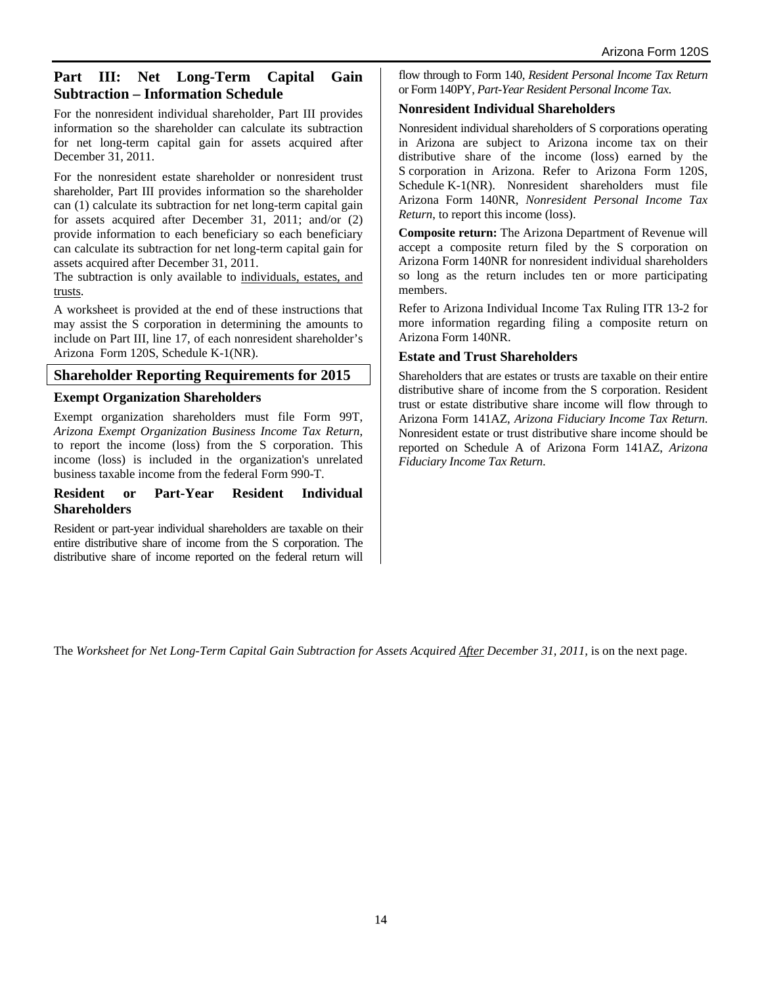# **Part III: Net Long-Term Capital Gain Subtraction – Information Schedule**

For the nonresident individual shareholder, Part III provides information so the shareholder can calculate its subtraction for net long-term capital gain for assets acquired after December 31, 2011.

For the nonresident estate shareholder or nonresident trust shareholder, Part III provides information so the shareholder can (1) calculate its subtraction for net long-term capital gain for assets acquired after December 31, 2011; and/or (2) provide information to each beneficiary so each beneficiary can calculate its subtraction for net long-term capital gain for assets acquired after December 31, 2011.

The subtraction is only available to individuals, estates, and trusts.

A worksheet is provided at the end of these instructions that may assist the S corporation in determining the amounts to include on Part III, line 17, of each nonresident shareholder's Arizona Form 120S, Schedule K-1(NR).

## **Shareholder Reporting Requirements for 2015**

## **Exempt Organization Shareholders**

Exempt organization shareholders must file Form 99T, *Arizona Exempt Organization Business Income Tax Return*, to report the income (loss) from the S corporation. This income (loss) is included in the organization's unrelated business taxable income from the federal Form 990-T.

#### **Resident or Part-Year Resident Individual Shareholders**

Resident or part-year individual shareholders are taxable on their entire distributive share of income from the S corporation. The distributive share of income reported on the federal return will

flow through to Form 140, *Resident Personal Income Tax Return*  or Form 140PY, *Part-Year Resident Personal Income Tax*.

## **Nonresident Individual Shareholders**

Nonresident individual shareholders of S corporations operating in Arizona are subject to Arizona income tax on their distributive share of the income (loss) earned by the S corporation in Arizona. Refer to Arizona Form 120S, Schedule K-1(NR). Nonresident shareholders must file Arizona Form 140NR, *Nonresident Personal Income Tax Return*, to report this income (loss).

**Composite return:** The Arizona Department of Revenue will accept a composite return filed by the S corporation on Arizona Form 140NR for nonresident individual shareholders so long as the return includes ten or more participating members.

Refer to Arizona Individual Income Tax Ruling ITR 13-2 for more information regarding filing a composite return on Arizona Form 140NR.

## **Estate and Trust Shareholders**

Shareholders that are estates or trusts are taxable on their entire distributive share of income from the S corporation. Resident trust or estate distributive share income will flow through to Arizona Form 141AZ, *Arizona Fiduciary Income Tax Return*. Nonresident estate or trust distributive share income should be reported on Schedule A of Arizona Form 141AZ, *Arizona Fiduciary Income Tax Return*.

The Worksheet for Net Long-Term Capital Gain Subtraction for Assets Acquired After December 31, 2011, is on the next page.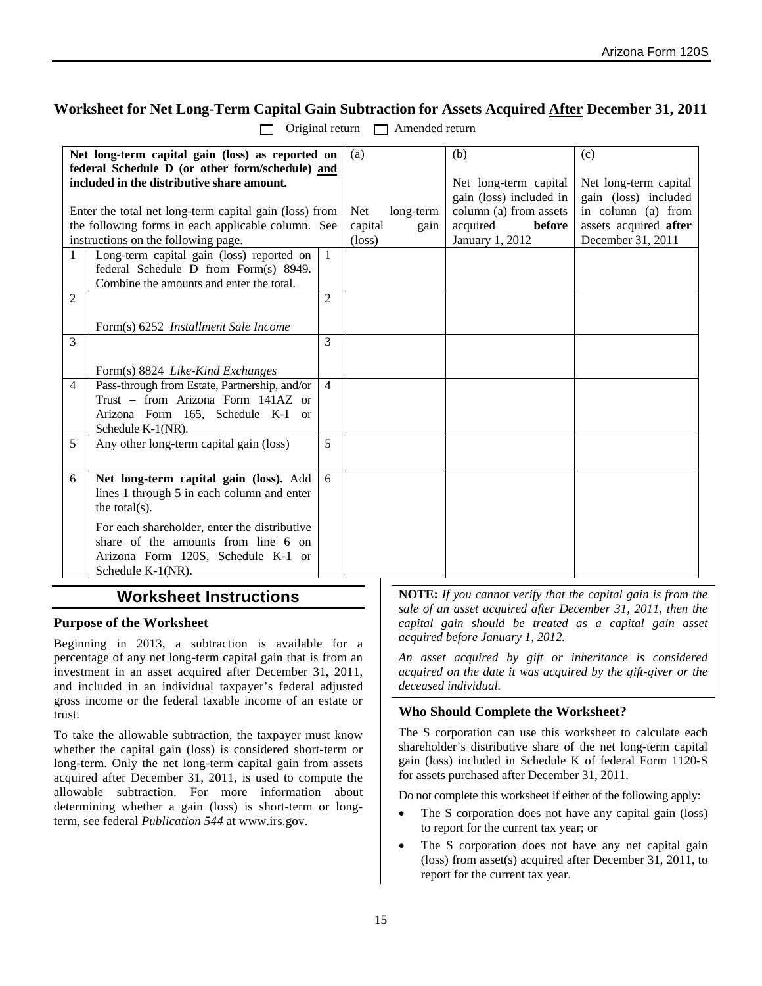# **Worksheet for Net Long-Term Capital Gain Subtraction for Assets Acquired After December 31, 2011**

|                                                 | Net long-term capital gain (loss) as reported on       |                | (a)               |      | (b)                     | (c)                   |
|-------------------------------------------------|--------------------------------------------------------|----------------|-------------------|------|-------------------------|-----------------------|
| federal Schedule D (or other form/schedule) and |                                                        |                |                   |      |                         |                       |
|                                                 | included in the distributive share amount.             |                |                   |      | Net long-term capital   | Net long-term capital |
|                                                 |                                                        |                |                   |      | gain (loss) included in | gain (loss) included  |
|                                                 | Enter the total net long-term capital gain (loss) from |                | Net.<br>long-term |      | column (a) from assets  | in column (a) from    |
|                                                 | the following forms in each applicable column. See     |                | capital           | gain | acquired<br>before      | assets acquired after |
|                                                 | instructions on the following page.                    |                | $(\text{loss})$   |      | January 1, 2012         | December 31, 2011     |
| $\mathbf{1}$                                    | Long-term capital gain (loss) reported on              | $\mathbf{1}$   |                   |      |                         |                       |
|                                                 | federal Schedule D from Form(s) 8949.                  |                |                   |      |                         |                       |
|                                                 |                                                        |                |                   |      |                         |                       |
|                                                 | Combine the amounts and enter the total.               |                |                   |      |                         |                       |
| $\overline{2}$                                  |                                                        | $\mathfrak{D}$ |                   |      |                         |                       |
|                                                 |                                                        |                |                   |      |                         |                       |
|                                                 | Form(s) 6252 <i>Installment Sale Income</i>            |                |                   |      |                         |                       |
| 3                                               |                                                        | 3              |                   |      |                         |                       |
|                                                 |                                                        |                |                   |      |                         |                       |
|                                                 | Form(s) 8824 Like-Kind Exchanges                       |                |                   |      |                         |                       |
| 4                                               | Pass-through from Estate, Partnership, and/or          | $\overline{4}$ |                   |      |                         |                       |
|                                                 | Trust - from Arizona Form 141AZ or                     |                |                   |      |                         |                       |
|                                                 | Arizona Form 165, Schedule K-1 or                      |                |                   |      |                         |                       |
|                                                 | Schedule K-1(NR).                                      |                |                   |      |                         |                       |
| 5                                               | Any other long-term capital gain (loss)                | 5              |                   |      |                         |                       |
|                                                 |                                                        |                |                   |      |                         |                       |
|                                                 |                                                        |                |                   |      |                         |                       |
| 6                                               | Net long-term capital gain (loss). Add                 | 6              |                   |      |                         |                       |
|                                                 | lines 1 through 5 in each column and enter             |                |                   |      |                         |                       |
|                                                 | the total $(s)$ .                                      |                |                   |      |                         |                       |
|                                                 |                                                        |                |                   |      |                         |                       |
|                                                 | For each shareholder, enter the distributive           |                |                   |      |                         |                       |
|                                                 | share of the amounts from line 6 on                    |                |                   |      |                         |                       |
|                                                 | Arizona Form 120S, Schedule K-1 or                     |                |                   |      |                         |                       |
|                                                 | Schedule K-1(NR).                                      |                |                   |      |                         |                       |

 $\Box$  Original return  $\Box$  Amended return

# **Worksheet Instructions**

# **Purpose of the Worksheet**

Beginning in 2013, a subtraction is available for a percentage of any net long-term capital gain that is from an investment in an asset acquired after December 31, 2011, and included in an individual taxpayer's federal adjusted gross income or the federal taxable income of an estate or trust.

To take the allowable subtraction, the taxpayer must know whether the capital gain (loss) is considered short-term or long-term. Only the net long-term capital gain from assets acquired after December 31, 2011, is used to compute the allowable subtraction. For more information about determining whether a gain (loss) is short-term or longterm, see federal *Publication 544* at www.irs.gov.

**NOTE:** *If you cannot verify that the capital gain is from the sale of an asset acquired after December 31, 2011, then the capital gain should be treated as a capital gain asset acquired before January 1, 2012.* 

*An asset acquired by gift or inheritance is considered acquired on the date it was acquired by the gift-giver or the deceased individual.* 

## **Who Should Complete the Worksheet?**

The S corporation can use this worksheet to calculate each shareholder's distributive share of the net long-term capital gain (loss) included in Schedule K of federal Form 1120-S for assets purchased after December 31, 2011.

Do not complete this worksheet if either of the following apply:

- The S corporation does not have any capital gain (loss) to report for the current tax year; or
- The S corporation does not have any net capital gain (loss) from asset(s) acquired after December 31, 2011, to report for the current tax year.